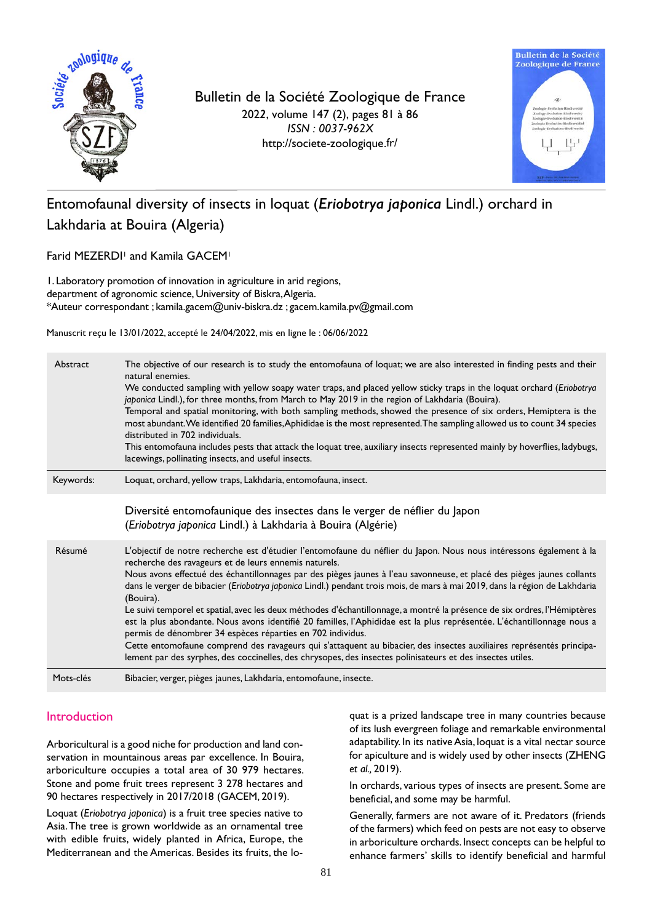

Bulletin de la Société Zoologique de France 202*2*, volume 147 (2), pages 81 à 86 *ISSN : 0037-962X* http://societe-zoologique.fr/



# Entomofaunal diversity of insects in loquat (*Eriobotrya japonica* Lindl.) orchard in Lakhdaria at Bouira (Algeria)

Farid MEZERDI<sup>1</sup> and Kamila GACEM<sup>1</sup>

1. Laboratory promotion of innovation in agriculture in arid regions, department of agronomic science, University of Biskra,Algeria. \*Auteur correspondant ; kamila.gacem@univ-biskra.dz ; gacem.kamila.pv@gmail.com

Manuscrit reçu le 13/01/2022, accepté le 24/04/2022, mis en ligne le : 06/06/2022

| Abstract  | The objective of our research is to study the entomofauna of loquat; we are also interested in finding pests and their<br>natural enemies.<br>We conducted sampling with yellow soapy water traps, and placed yellow sticky traps in the loquat orchard (Eriobotrya<br>japonica Lindl.), for three months, from March to May 2019 in the region of Lakhdaria (Bouira).<br>Temporal and spatial monitoring, with both sampling methods, showed the presence of six orders, Hemiptera is the<br>most abundant. We identified 20 families, Aphididae is the most represented. The sampling allowed us to count 34 species<br>distributed in 702 individuals.<br>This entomofauna includes pests that attack the loquat tree, auxiliary insects represented mainly by hoverflies, ladybugs,<br>lacewings, pollinating insects, and useful insects.                                                                                                                                                               |
|-----------|--------------------------------------------------------------------------------------------------------------------------------------------------------------------------------------------------------------------------------------------------------------------------------------------------------------------------------------------------------------------------------------------------------------------------------------------------------------------------------------------------------------------------------------------------------------------------------------------------------------------------------------------------------------------------------------------------------------------------------------------------------------------------------------------------------------------------------------------------------------------------------------------------------------------------------------------------------------------------------------------------------------|
| Keywords: | Loquat, orchard, yellow traps, Lakhdaria, entomofauna, insect.                                                                                                                                                                                                                                                                                                                                                                                                                                                                                                                                                                                                                                                                                                                                                                                                                                                                                                                                               |
|           | Diversité entomofaunique des insectes dans le verger de néflier du Japon<br>(Eriobotrya japonica Lindl.) à Lakhdaria à Bouira (Algérie)                                                                                                                                                                                                                                                                                                                                                                                                                                                                                                                                                                                                                                                                                                                                                                                                                                                                      |
| Résumé    | L'objectif de notre recherche est d'étudier l'entomofaune du néflier du Japon. Nous nous intéressons également à la<br>recherche des ravageurs et de leurs ennemis naturels.<br>Nous avons effectué des échantillonnages par des pièges jaunes à l'eau savonneuse, et placé des pièges jaunes collants<br>dans le verger de bibacier (Eriobotrya japonica Lindl.) pendant trois mois, de mars à mai 2019, dans la région de Lakhdaria<br>(Bouira).<br>Le suivi temporel et spatial, avec les deux méthodes d'échantillonnage, a montré la présence de six ordres, l'Hémiptères<br>est la plus abondante. Nous avons identifié 20 familles, l'Aphididae est la plus représentée. L'échantillonnage nous a<br>permis de dénombrer 34 espèces réparties en 702 individus.<br>Cette entomofaune comprend des ravageurs qui s'attaquent au bibacier, des insectes auxiliaires représentés principa-<br>lement par des syrphes, des coccinelles, des chrysopes, des insectes polinisateurs et des insectes utiles. |
| Mots-clés | Bibacier, verger, pièges jaunes, Lakhdaria, entomofaune, insecte.                                                                                                                                                                                                                                                                                                                                                                                                                                                                                                                                                                                                                                                                                                                                                                                                                                                                                                                                            |

# Introduction

Arboricultural is a good niche for production and land conservation in mountainous areas par excellence. In Bouira, arboriculture occupies a total area of 30 979 hectares. Stone and pome fruit trees represent 3 278 hectares and 90 hectares respectively in 2017/2018 (GACEM, 2019).

Loquat (*Eriobotrya japonica*) is a fruit tree species native to Asia. The tree is grown worldwide as an ornamental tree with edible fruits, widely planted in Africa, Europe, the Mediterranean and the Americas. Besides its fruits, the loquat is a prized landscape tree in many countries because of its lush evergreen foliage and remarkable environmental adaptability. In its native Asia, loquat is a vital nectar source for apiculture and is widely used by other insects (ZHENG *et al.,* 2019).

In orchards, various types of insects are present. Some are beneficial, and some may be harmful.

Generally, farmers are not aware of it. Predators (friends of the farmers) which feed on pests are not easy to observe in arboriculture orchards. Insect concepts can be helpful to enhance farmers' skills to identify beneficial and harmful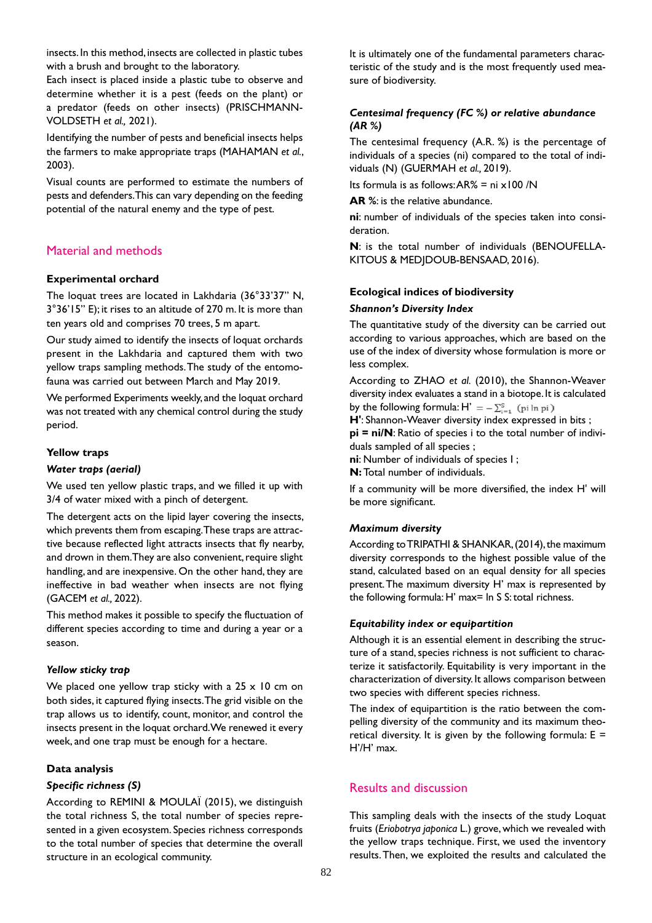insects. In this method, insects are collected in plastic tubes with a brush and brought to the laboratory.

Each insect is placed inside a plastic tube to observe and determine whether it is a pest (feeds on the plant) or a predator (feeds on other insects) (PRISCHMANN-VOLDSETH *et al.,* 2021).

Identifying the number of pests and beneficial insects helps the farmers to make appropriate traps (MAHAMAN *et al.*, 2003).

Visual counts are performed to estimate the numbers of pests and defenders. This can vary depending on the feeding potential of the natural enemy and the type of pest.

# Material and methods

### **Experimental orchard**

The loquat trees are located in Lakhdaria (36°33'37" N, 3°36'15" E); it rises to an altitude of 270 m. It is more than ten years old and comprises 70 trees, 5 m apart.

Our study aimed to identify the insects of loquat orchards present in the Lakhdaria and captured them with two yellow traps sampling methods. The study of the entomofauna was carried out between March and May 2019.

We performed Experiments weekly, and the loquat orchard was not treated with any chemical control during the study period.

### **Yellow traps**

#### *Water traps (aerial)*

We used ten yellow plastic traps, and we filled it up with 3/4 of water mixed with a pinch of detergent.

The detergent acts on the lipid layer covering the insects, which prevents them from escaping. These traps are attractive because reflected light attracts insects that fly nearby, and drown in them. They are also convenient, require slight handling, and are inexpensive. On the other hand, they are ineffective in bad weather when insects are not flying (GACEM *et al.,* 2022).

This method makes it possible to specify the fluctuation of different species according to time and during a year or a season.

#### *Yellow sticky trap*

We placed one yellow trap sticky with a  $25 \times 10$  cm on both sides, it captured flying insects. The grid visible on the trap allows us to identify, count, monitor, and control the insects present in the loquat orchard. We renewed it every week, and one trap must be enough for a hectare.

# **Data analysis**

# *Specific richness (S)*

According to REMINI & MOULAÏ (2015), we distinguish the total richness S, the total number of species represented in a given ecosystem. Species richness corresponds to the total number of species that determine the overall structure in an ecological community.

It is ultimately one of the fundamental parameters characteristic of the study and is the most frequently used measure of biodiversity.

# *Centesimal frequency (FC %) or relative abundance (AR %)*

The centesimal frequency (A.R. %) is the percentage of individuals of a species (ni) compared to the total of individuals (N) (GUERMAH *et al.,* 2019).

Its formula is as follows:  $AR% = ni \times 100 /N$ 

**AR %**: is the relative abundance.

**ni**: number of individuals of the species taken into consideration.

**N**: is the total number of individuals (BENOUFELLA-KITOUS & MEDJDOUB-BENSAAD, 2016).

### **Ecological indices of biodiversity**

#### *Shannon's Diversity Index*

The quantitative study of the diversity can be carried out according to various approaches, which are based on the use of the index of diversity whose formulation is more or less complex.

According to ZHAO *et al.* (2010), the Shannon-Weaver diversity index evaluates a stand in a biotope. It is calculated by the following formula:  $H' = -\sum_{i=1}^{S}$  (pi ln pi)

**H'**: Shannon-Weaver diversity index expressed in bits ;

**pi = ni/N**: Ratio of species i to the total number of individuals sampled of all species ;

**ni**: Number of individuals of species I ;

**N:** Total number of individuals.

If a community will be more diversified, the index H' will be more significant.

#### *Maximum diversity*

According to TRIPATHI & SHANKAR, (2014), the maximum diversity corresponds to the highest possible value of the stand, calculated based on an equal density for all species present. The maximum diversity H' max is represented by the following formula: H' max= ln S S: total richness.

#### *Equitability index or equipartition*

Although it is an essential element in describing the structure of a stand, species richness is not sufficient to characterize it satisfactorily. Equitability is very important in the characterization of diversity. It allows comparison between two species with different species richness.

The index of equipartition is the ratio between the compelling diversity of the community and its maximum theoretical diversity. It is given by the following formula:  $E =$ H'/H' max.

# Results and discussion

This sampling deals with the insects of the study Loquat fruits (*Eriobotrya japonica* L.) grove, which we revealed with the yellow traps technique. First, we used the inventory results. Then, we exploited the results and calculated the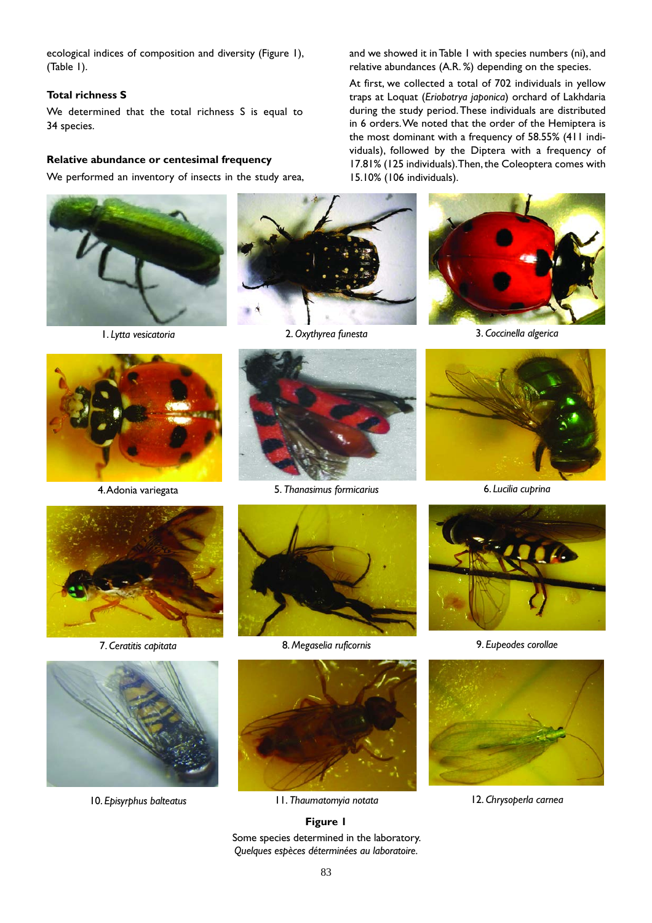ecological indices of composition and diversity (Figure 1), (Table 1).

#### **Total richness S**

We determined that the total richness S is equal to 34 species.

### **Relative abundance or centesimal frequency**

We performed an inventory of insects in the study area,







and we showed it in Table 1 with species numbers (ni), and relative abundances (A.R. %) depending on the species. At first, we collected a total of 702 individuals in yellow traps at Loquat (*Eriobotrya japonica*) orchard of Lakhdaria during the study period. These individuals are distributed in 6 orders. We noted that the order of the Hemiptera is the most dominant with a frequency of 58.55% (411 individuals), followed by the Diptera with a frequency of 17.81% (125 individuals). Then, the Coleoptera comes with

1. *Lytta vesicatoria* 2. *Oxythyrea funesta* 3. *Coccinella algerica*









7. *Ceratitis capitata* 8. *Megaselia ruficornis* 9. *Eupeodes corollae* 



10. *Episyrphus balteatus* 11. *Thaumatomyia notata* 12. *Chrysoperla carnea*

**Figure 1** Some species determined in the laboratory. *Quelques espèces déterminées au laboratoire.*







15.10% (106 individuals).

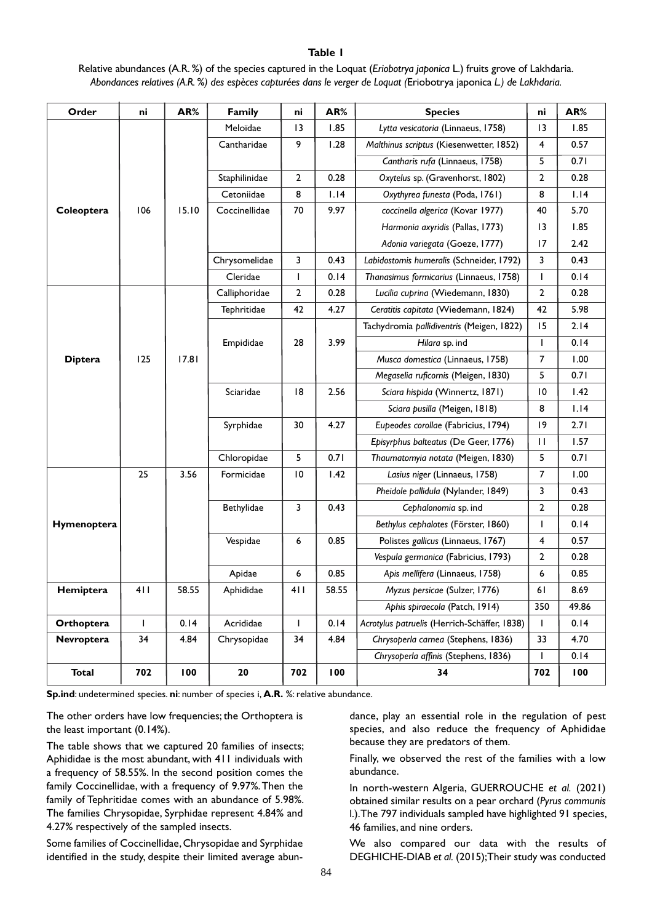#### **Table 1**

Relative abundances (A.R. %) of the species captured in the Loquat (*Eriobotrya japonica* L.) fruits grove of Lakhdaria. *Abondances relatives (A.R. %) des espèces capturées dans le verger de Loquat (*Eriobotrya japonica *L.) de Lakhdaria.*

| Order          | ni           | AR%   | Family        | ni              | AR%   | <b>Species</b>                               | ni              | AR%   |
|----------------|--------------|-------|---------------|-----------------|-------|----------------------------------------------|-----------------|-------|
|                |              |       | Meloïdae      | $\overline{13}$ | 1.85  | Lytta vesicatoria (Linnaeus, 1758)           | $\overline{13}$ | 1.85  |
|                |              |       | Cantharidae   | 9               | 1.28  | Malthinus scriptus (Kiesenwetter, 1852)      | 4               | 0.57  |
|                |              |       |               |                 |       | Cantharis rufa (Linnaeus, 1758)              | 5               | 0.71  |
|                |              |       | Staphilinidae | $\overline{2}$  | 0.28  | Oxytelus sp. (Gravenhorst, 1802)             | 2               | 0.28  |
|                |              |       | Cetoniidae    | 8               | 1.14  | Oxythyrea funesta (Poda, 1761)               | 8               | 1.14  |
| Coleoptera     | 106          | 15.10 | Coccinellidae | 70              | 9.97  | coccinella algerica (Kovar 1977)             | 40              | 5.70  |
|                |              |       |               |                 |       | Harmonia axyridis (Pallas, 1773)             | 13              | 1.85  |
|                |              |       |               |                 |       | Adonia variegata (Goeze, 1777)               | 17              | 2.42  |
|                |              |       | Chrysomelidae | 3               | 0.43  | Labidostomis humeralis (Schneider, 1792)     | 3               | 0.43  |
|                |              |       | Cleridae      | L               | 0.14  | Thanasimus formicarius (Linnaeus, 1758)      | $\mathbf{I}$    | 0.14  |
|                |              |       | Calliphoridae | $\overline{2}$  | 0.28  | Lucilia cuprina (Wiedemann, 1830)            | 2               | 0.28  |
|                |              |       | Tephritidae   | 42              | 4.27  | Ceratitis capitata (Wiedemann, 1824)         | 42              | 5.98  |
|                |              |       | Empididae     | 28              | 3.99  | Tachydromia pallidiventris (Meigen, 1822)    | 15              | 2.14  |
|                |              |       |               |                 |       | Hilara sp. ind                               | $\mathbf{I}$    | 0.14  |
| <b>Diptera</b> | 125          | 17.81 |               |                 |       | Musca domestica (Linnaeus, 1758)             | 7               | 1.00  |
|                |              |       |               |                 |       | Megaselia ruficornis (Meigen, 1830)          | 5               | 0.71  |
|                |              |       | Sciaridae     | 18              | 2.56  | Sciara hispida (Winnertz, 1871)              | 10              | 1.42  |
|                |              |       |               |                 |       | Sciara pusilla (Meigen, 1818)                | 8               | 1.14  |
|                |              |       | Syrphidae     | 30              | 4.27  | Eupeodes corollae (Fabricius, 1794)          | 19              | 2.71  |
|                |              |       |               |                 |       | Episyrphus balteatus (De Geer, 1776)         | П               | 1.57  |
|                |              |       | Chloropidae   | 5               | 0.71  | Thaumatomyia notata (Meigen, 1830)           | 5               | 0.71  |
|                | 25           | 3.56  | Formicidae    | 10              | 1.42  | Lasius niger (Linnaeus, 1758)                | 7               | 1.00  |
|                |              |       |               |                 |       | Pheidole pallidula (Nylander, 1849)          | 3               | 0.43  |
|                |              |       | Bethylidae    | 3               | 0.43  | Cephalonomia sp. ind                         | 2               | 0.28  |
| Hymenoptera    |              |       |               |                 |       | Bethylus cephalotes (Förster, 1860)          | $\mathsf{I}$    | 0.14  |
|                |              |       | Vespidae      | 6               | 0.85  | Polistes gallicus (Linnaeus, 1767)           | 4               | 0.57  |
|                |              |       |               |                 |       | Vespula germanica (Fabricius, 1793)          | 2               | 0.28  |
|                |              |       | Apidae        | 6               | 0.85  | Apis mellifera (Linnaeus, 1758)              | 6               | 0.85  |
| Hemiptera      | 411          | 58.55 | Aphididae     | 411             | 58.55 | Myzus persicae (Sulzer, 1776)                | 61              | 8.69  |
|                |              |       |               |                 |       | Aphis spiraecola (Patch, 1914)               | 350             | 49.86 |
| Orthoptera     | $\mathsf{I}$ | 0.14  | Acrididae     | $\mathsf{L}$    | 0.14  | Acrotylus patruelis (Herrich-Schäffer, 1838) | $\mathbf{I}$    | 0.14  |
| Nevroptera     | 34           | 4.84  | Chrysopidae   | 34              | 4.84  | Chrysoperla carnea (Stephens, 1836)          | 33              | 4.70  |
|                |              |       |               |                 |       | Chrysoperla affinis (Stephens, 1836)         | $\mathbf{I}$    | 0.14  |
| <b>Total</b>   | 702          | 100   | ${\bf 20}$    | 702             | 100   | 34                                           | 702             | 100   |

**Sp.ind**: undetermined species. **ni**: number of species i, **A.R.** %: relative abundance.

The other orders have low frequencies; the Orthoptera is the least important (0.14%).

The table shows that we captured 20 families of insects; Aphididae is the most abundant, with 411 individuals with a frequency of 58.55%. In the second position comes the family Coccinellidae, with a frequency of 9.97%. Then the family of Tephritidae comes with an abundance of 5.98%. The families Chrysopidae, Syrphidae represent 4.84% and 4.27% respectively of the sampled insects.

Some families of Coccinellidae, Chrysopidae and Syrphidae identified in the study, despite their limited average abundance, play an essential role in the regulation of pest species, and also reduce the frequency of Aphididae because they are predators of them.

Finally, we observed the rest of the families with a low abundance.

In north-western Algeria, GUERROUCHE *et al.* (2021) obtained similar results on a pear orchard (*Pyrus communis* l.). The 797 individuals sampled have highlighted 91 species, 46 families, and nine orders.

We also compared our data with the results of DEGHICHE-DIAB *et al.* (2015); Their study was conducted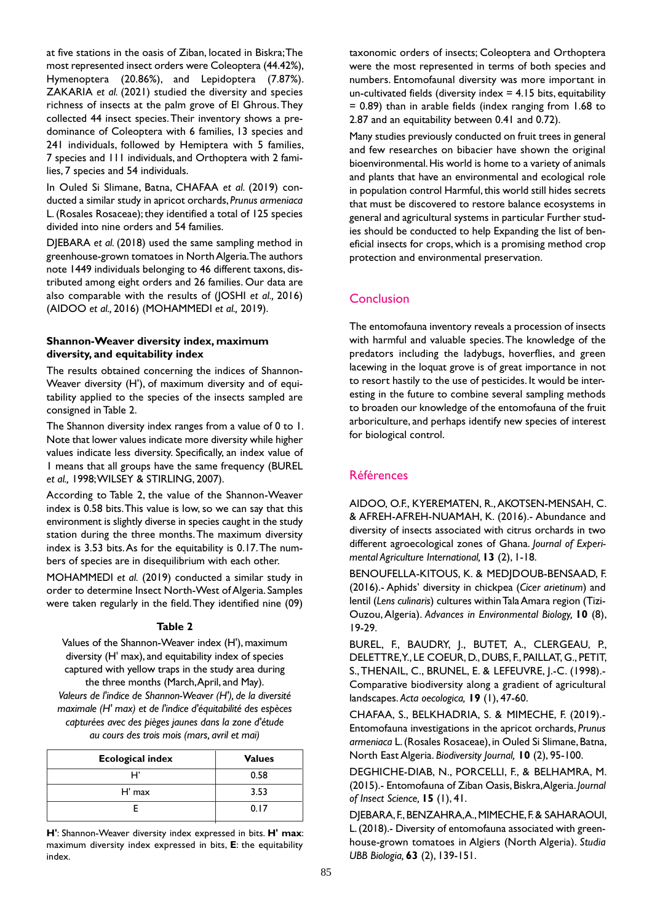at five stations in the oasis of Ziban, located in Biskra; The most represented insect orders were Coleoptera (44.42%), Hymenoptera (20.86%), and Lepidoptera (7.87%). ZAKARIA *et al.* (2021) studied the diversity and species richness of insects at the palm grove of El Ghrous. They collected 44 insect species. Their inventory shows a predominance of Coleoptera with 6 families, 13 species and 241 individuals, followed by Hemiptera with 5 families, 7 species and 111 individuals, and Orthoptera with 2 families, 7 species and 54 individuals.

In Ouled Si Slimane, Batna, CHAFAA *et al.* (2019) conducted a similar study in apricot orchards, *Prunus armeniaca* L. (Rosales Rosaceae); they identified a total of 125 species divided into nine orders and 54 families.

DJEBARA *et al.* (2018) used the same sampling method in greenhouse-grown tomatoes in North Algeria. The authors note 1449 individuals belonging to 46 different taxons, distributed among eight orders and 26 families. Our data are also comparable with the results of (JOSHI *et al.,* 2016) (AIDOO *et al.,* 2016) (MOHAMMEDI *et al.,* 2019).

#### **Shannon-Weaver diversity index, maximum diversity, and equitability index**

The results obtained concerning the indices of Shannon-Weaver diversity (H'), of maximum diversity and of equitability applied to the species of the insects sampled are consigned in Table 2.

The Shannon diversity index ranges from a value of 0 to 1. Note that lower values indicate more diversity while higher values indicate less diversity. Specifically, an index value of 1 means that all groups have the same frequency (BUREL *et al.,* 1998; WILSEY & STIRLING, 2007).

According to Table 2, the value of the Shannon-Weaver index is 0.58 bits. This value is low, so we can say that this environment is slightly diverse in species caught in the study station during the three months. The maximum diversity index is 3.53 bits. As for the equitability is 0.17. The numbers of species are in disequilibrium with each other.

MOHAMMEDI *et al.* (2019) conducted a similar study in order to determine Insect North-West of Algeria. Samples were taken regularly in the field. They identified nine (09)

#### **Table 2**

Values of the Shannon-Weaver index (H'), maximum diversity (H' max), and equitability index of species captured with yellow traps in the study area during the three months (March, April, and May).

*Valeurs de l'indice de Shannon-Weaver (H'), de la diversité maximale (H' max) et de l'indice d'équitabilité des espèces capturées avec des pièges jaunes dans la zone d'étude au cours des trois mois (mars, avril et mai)*

| <b>Ecological index</b> | <b>Values</b> |
|-------------------------|---------------|
| H                       | 0.58          |
| $H'$ max                | 3.53          |
|                         | 0.17          |

**H'**: Shannon-Weaver diversity index expressed in bits. **H' max**: maximum diversity index expressed in bits, **E**: the equitability index.

taxonomic orders of insects; Coleoptera and Orthoptera were the most represented in terms of both species and numbers. Entomofaunal diversity was more important in un-cultivated fields (diversity index  $= 4.15$  bits, equitability = 0.89) than in arable fields (index ranging from 1.68 to 2.87 and an equitability between 0.41 and 0.72).

Many studies previously conducted on fruit trees in general and few researches on bibacier have shown the original bioenvironmental. His world is home to a variety of animals and plants that have an environmental and ecological role in population control Harmful, this world still hides secrets that must be discovered to restore balance ecosystems in general and agricultural systems in particular Further studies should be conducted to help Expanding the list of beneficial insects for crops, which is a promising method crop protection and environmental preservation.

# **Conclusion**

The entomofauna inventory reveals a procession of insects with harmful and valuable species. The knowledge of the predators including the ladybugs, hoverflies, and green lacewing in the loquat grove is of great importance in not to resort hastily to the use of pesticides. It would be interesting in the future to combine several sampling methods to broaden our knowledge of the entomofauna of the fruit arboriculture, and perhaps identify new species of interest for biological control.

# Références

AIDOO, O.F., KYEREMATEN, R., AKOTSEN-MENSAH, C. & AFREH-AFREH-NUAMAH, K. (2016).- Abundance and diversity of insects associated with citrus orchards in two different agroecological zones of Ghana. *Journal of Experimental Agriculture International,* **13** (2), 1-18.

BENOUFELLA-KITOUS, K. & MEDJDOUB-BENSAAD, F. (2016).- Aphids' diversity in chickpea (*Cicer arietinum*) and lentil (*Lens culinaris*) cultures within Tala Amara region (Tizi-Ouzou, Algeria). *Advances in Environmental Biology,* **10** (8), 19-29.

BUREL, F., BAUDRY, J., BUTET, A., CLERGEAU, P., DELETTRE, Y., LE COEUR, D., DUBS, F., PAILLAT, G., PETIT, S., THENAIL, C., BRUNEL, E. & LEFEUVRE, J.-C. (1998).- Comparative biodiversity along a gradient of agricultural landscapes. *Acta oecologica,* **19** (1), 47-60.

CHAFAA, S., BELKHADRIA, S. & MIMECHE, F. (2019).- Entomofauna investigations in the apricot orchards, *Prunus armeniaca* L. (Rosales Rosaceae), in Ouled Si Slimane, Batna, North East Algeria. *Biodiversity Journal,* **10** (2), 95-100.

DEGHICHE-DIAB, N., PORCELLI, F., & BELHAMRA, M. (2015).- Entomofauna of Ziban Oasis, Biskra, Algeria. *Journal of Insect Science,* **15** (1), 41.

DJEBARA, F., BENZAHRA, A., MIMECHE, F. & SAHARAOUI, L. (2018).- Diversity of entomofauna associated with greenhouse-grown tomatoes in Algiers (North Algeria). *Studia UBB Biologia,* **63** (2), 139-151.